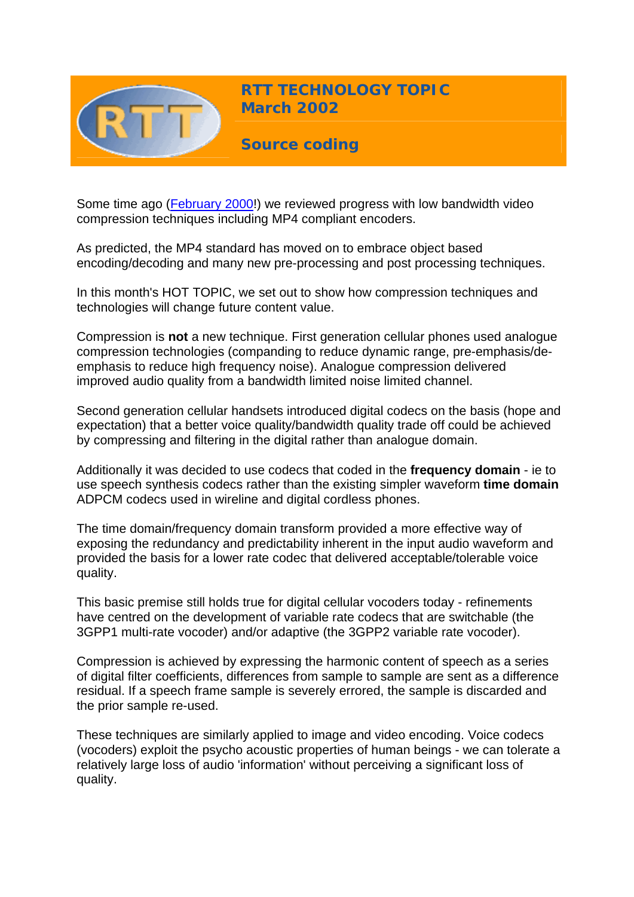

**RTT TECHNOLOGY TOPIC March 2002**

**Source coding** 

Some time ago ([February 2000](http://www.rttonline.com/HotTopics/hottop_feb00.htm)!) we reviewed progress with low bandwidth video compression techniques including MP4 compliant encoders.

As predicted, the MP4 standard has moved on to embrace object based encoding/decoding and many new pre-processing and post processing techniques.

In this month's HOT TOPIC, we set out to show how compression techniques and technologies will change future content value.

Compression is **not** a new technique. First generation cellular phones used analogue compression technologies (companding to reduce dynamic range, pre-emphasis/deemphasis to reduce high frequency noise). Analogue compression delivered improved audio quality from a bandwidth limited noise limited channel.

Second generation cellular handsets introduced digital codecs on the basis (hope and expectation) that a better voice quality/bandwidth quality trade off could be achieved by compressing and filtering in the digital rather than analogue domain.

Additionally it was decided to use codecs that coded in the **frequency domain** - ie to use speech synthesis codecs rather than the existing simpler waveform **time domain** ADPCM codecs used in wireline and digital cordless phones.

The time domain/frequency domain transform provided a more effective way of exposing the redundancy and predictability inherent in the input audio waveform and provided the basis for a lower rate codec that delivered acceptable/tolerable voice quality.

This basic premise still holds true for digital cellular vocoders today - refinements have centred on the development of variable rate codecs that are switchable (the 3GPP1 multi-rate vocoder) and/or adaptive (the 3GPP2 variable rate vocoder).

Compression is achieved by expressing the harmonic content of speech as a series of digital filter coefficients, differences from sample to sample are sent as a difference residual. If a speech frame sample is severely errored, the sample is discarded and the prior sample re-used.

These techniques are similarly applied to image and video encoding. Voice codecs (vocoders) exploit the psycho acoustic properties of human beings - we can tolerate a relatively large loss of audio 'information' without perceiving a significant loss of quality.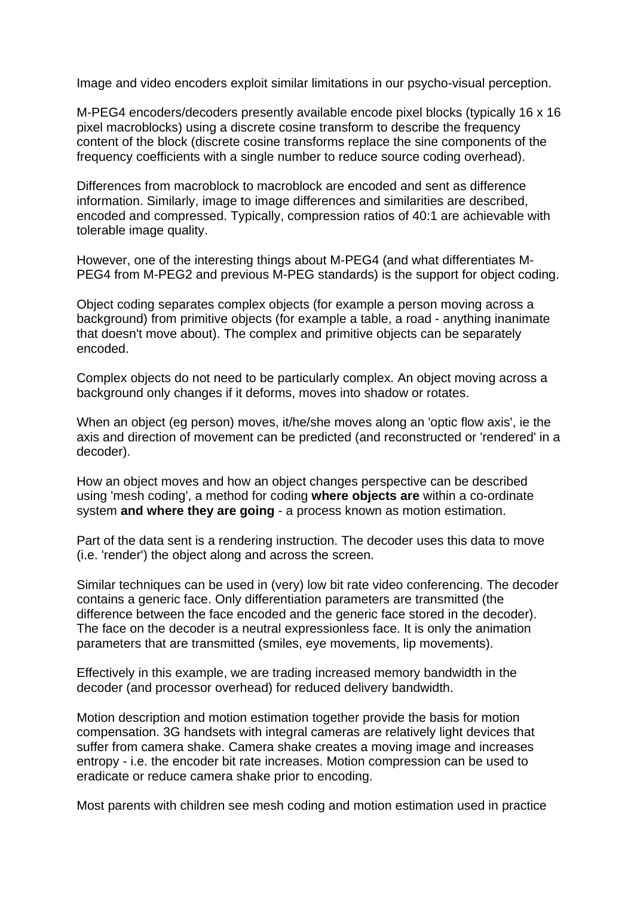Image and video encoders exploit similar limitations in our psycho-visual perception.

M-PEG4 encoders/decoders presently available encode pixel blocks (typically 16 x 16 pixel macroblocks) using a discrete cosine transform to describe the frequency content of the block (discrete cosine transforms replace the sine components of the frequency coefficients with a single number to reduce source coding overhead).

Differences from macroblock to macroblock are encoded and sent as difference information. Similarly, image to image differences and similarities are described, encoded and compressed. Typically, compression ratios of 40:1 are achievable with tolerable image quality.

However, one of the interesting things about M-PEG4 (and what differentiates M-PEG4 from M-PEG2 and previous M-PEG standards) is the support for object coding.

Object coding separates complex objects (for example a person moving across a background) from primitive objects (for example a table, a road - anything inanimate that doesn't move about). The complex and primitive objects can be separately encoded.

Complex objects do not need to be particularly complex. An object moving across a background only changes if it deforms, moves into shadow or rotates.

When an object (eg person) moves, it/he/she moves along an 'optic flow axis', ie the axis and direction of movement can be predicted (and reconstructed or 'rendered' in a decoder).

How an object moves and how an object changes perspective can be described using 'mesh coding', a method for coding **where objects are** within a co-ordinate system **and where they are going** - a process known as motion estimation.

Part of the data sent is a rendering instruction. The decoder uses this data to move (i.e. 'render') the object along and across the screen.

Similar techniques can be used in (very) low bit rate video conferencing. The decoder contains a generic face. Only differentiation parameters are transmitted (the difference between the face encoded and the generic face stored in the decoder). The face on the decoder is a neutral expressionless face. It is only the animation parameters that are transmitted (smiles, eye movements, lip movements).

Effectively in this example, we are trading increased memory bandwidth in the decoder (and processor overhead) for reduced delivery bandwidth.

Motion description and motion estimation together provide the basis for motion compensation. 3G handsets with integral cameras are relatively light devices that suffer from camera shake. Camera shake creates a moving image and increases entropy - i.e. the encoder bit rate increases. Motion compression can be used to eradicate or reduce camera shake prior to encoding.

Most parents with children see mesh coding and motion estimation used in practice